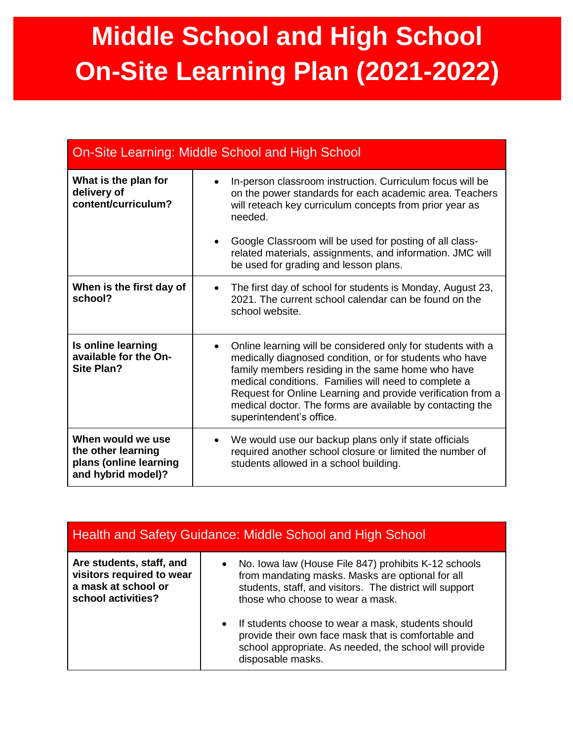## **Middle School and High School On-Site Learning Plan (2021-2022)**

| <b>On-Site Learning: Middle School and High School</b>                                  |                                                                                                                                                                                                                                                                                                                                                                                                          |
|-----------------------------------------------------------------------------------------|----------------------------------------------------------------------------------------------------------------------------------------------------------------------------------------------------------------------------------------------------------------------------------------------------------------------------------------------------------------------------------------------------------|
| What is the plan for<br>delivery of<br>content/curriculum?                              | In-person classroom instruction. Curriculum focus will be<br>on the power standards for each academic area. Teachers<br>will reteach key curriculum concepts from prior year as<br>needed.                                                                                                                                                                                                               |
|                                                                                         | Google Classroom will be used for posting of all class-<br>related materials, assignments, and information. JMC will<br>be used for grading and lesson plans.                                                                                                                                                                                                                                            |
| When is the first day of<br>school?                                                     | The first day of school for students is Monday, August 23,<br>2021. The current school calendar can be found on the<br>school website.                                                                                                                                                                                                                                                                   |
| Is online learning<br>available for the On-<br><b>Site Plan?</b>                        | Online learning will be considered only for students with a<br>$\bullet$<br>medically diagnosed condition, or for students who have<br>family members residing in the same home who have<br>medical conditions. Families will need to complete a<br>Request for Online Learning and provide verification from a<br>medical doctor. The forms are available by contacting the<br>superintendent's office. |
| When would we use<br>the other learning<br>plans (online learning<br>and hybrid model)? | We would use our backup plans only if state officials<br>$\bullet$<br>required another school closure or limited the number of<br>students allowed in a school building.                                                                                                                                                                                                                                 |

| <b>Health and Safety Guidance: Middle School and High School</b>                                   |                                                                                                                                                                                                                                                                                                                                                                                                        |
|----------------------------------------------------------------------------------------------------|--------------------------------------------------------------------------------------------------------------------------------------------------------------------------------------------------------------------------------------------------------------------------------------------------------------------------------------------------------------------------------------------------------|
| Are students, staff, and<br>visitors required to wear<br>a mask at school or<br>school activities? | No. Iowa law (House File 847) prohibits K-12 schools<br>from mandating masks. Masks are optional for all<br>students, staff, and visitors. The district will support<br>those who choose to wear a mask.<br>• If students choose to wear a mask, students should<br>provide their own face mask that is comfortable and<br>school appropriate. As needed, the school will provide<br>disposable masks. |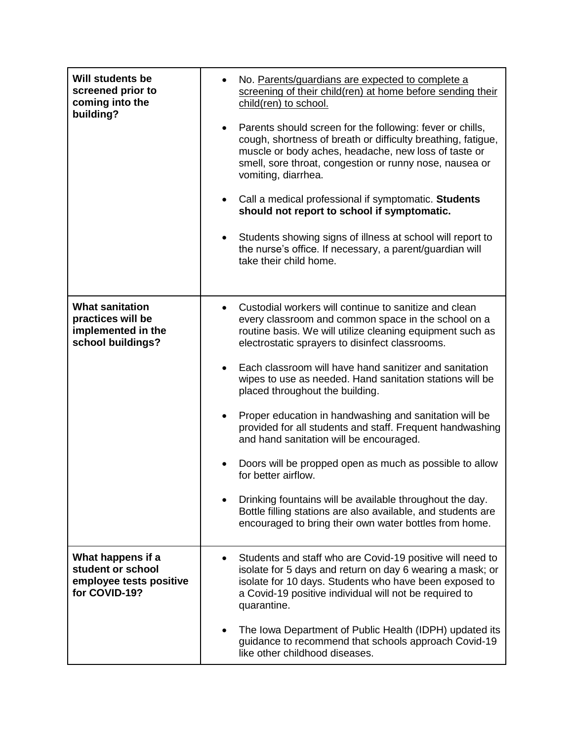| <b>Will students be</b><br>screened prior to<br>coming into the<br>building?           | No. Parents/guardians are expected to complete a<br>screening of their child(ren) at home before sending their<br>child(ren) to school.<br>Parents should screen for the following: fever or chills,<br>cough, shortness of breath or difficulty breathing, fatigue,<br>muscle or body aches, headache, new loss of taste or<br>smell, sore throat, congestion or runny nose, nausea or<br>vomiting, diarrhea.<br>Call a medical professional if symptomatic. Students<br>should not report to school if symptomatic.<br>Students showing signs of illness at school will report to<br>the nurse's office. If necessary, a parent/guardian will<br>take their child home.                                                                                                                                                       |
|----------------------------------------------------------------------------------------|---------------------------------------------------------------------------------------------------------------------------------------------------------------------------------------------------------------------------------------------------------------------------------------------------------------------------------------------------------------------------------------------------------------------------------------------------------------------------------------------------------------------------------------------------------------------------------------------------------------------------------------------------------------------------------------------------------------------------------------------------------------------------------------------------------------------------------|
| <b>What sanitation</b><br>practices will be<br>implemented in the<br>school buildings? | Custodial workers will continue to sanitize and clean<br>every classroom and common space in the school on a<br>routine basis. We will utilize cleaning equipment such as<br>electrostatic sprayers to disinfect classrooms.<br>Each classroom will have hand sanitizer and sanitation<br>wipes to use as needed. Hand sanitation stations will be<br>placed throughout the building.<br>Proper education in handwashing and sanitation will be<br>provided for all students and staff. Frequent handwashing<br>and hand sanitation will be encouraged.<br>Doors will be propped open as much as possible to allow<br>for better airflow.<br>Drinking fountains will be available throughout the day.<br>Bottle filling stations are also available, and students are<br>encouraged to bring their own water bottles from home. |
| What happens if a<br>student or school<br>employee tests positive<br>for COVID-19?     | Students and staff who are Covid-19 positive will need to<br>isolate for 5 days and return on day 6 wearing a mask; or<br>isolate for 10 days. Students who have been exposed to<br>a Covid-19 positive individual will not be required to<br>quarantine.<br>The Iowa Department of Public Health (IDPH) updated its<br>guidance to recommend that schools approach Covid-19<br>like other childhood diseases.                                                                                                                                                                                                                                                                                                                                                                                                                  |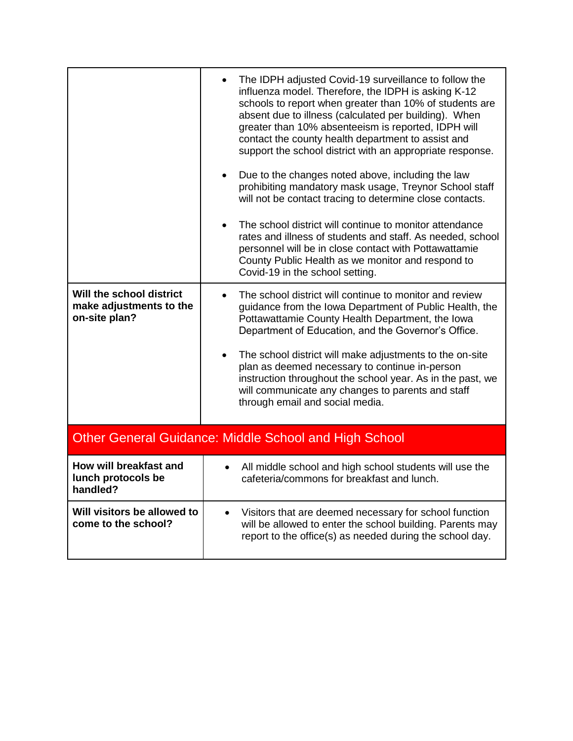|                                                                      | The IDPH adjusted Covid-19 surveillance to follow the<br>influenza model. Therefore, the IDPH is asking K-12<br>schools to report when greater than 10% of students are<br>absent due to illness (calculated per building). When<br>greater than 10% absenteeism is reported, IDPH will<br>contact the county health department to assist and<br>support the school district with an appropriate response.<br>Due to the changes noted above, including the law<br>prohibiting mandatory mask usage, Treynor School staff<br>will not be contact tracing to determine close contacts.<br>The school district will continue to monitor attendance |
|----------------------------------------------------------------------|--------------------------------------------------------------------------------------------------------------------------------------------------------------------------------------------------------------------------------------------------------------------------------------------------------------------------------------------------------------------------------------------------------------------------------------------------------------------------------------------------------------------------------------------------------------------------------------------------------------------------------------------------|
|                                                                      | rates and illness of students and staff. As needed, school<br>personnel will be in close contact with Pottawattamie<br>County Public Health as we monitor and respond to<br>Covid-19 in the school setting.                                                                                                                                                                                                                                                                                                                                                                                                                                      |
| Will the school district<br>make adjustments to the<br>on-site plan? | The school district will continue to monitor and review<br>$\bullet$<br>guidance from the Iowa Department of Public Health, the<br>Pottawattamie County Health Department, the Iowa<br>Department of Education, and the Governor's Office.                                                                                                                                                                                                                                                                                                                                                                                                       |
|                                                                      | The school district will make adjustments to the on-site<br>plan as deemed necessary to continue in-person<br>instruction throughout the school year. As in the past, we<br>will communicate any changes to parents and staff<br>through email and social media.                                                                                                                                                                                                                                                                                                                                                                                 |
| <b>Other General Guidance: Middle School and High School</b>         |                                                                                                                                                                                                                                                                                                                                                                                                                                                                                                                                                                                                                                                  |
| How will breakfast and<br>lunch protocols be<br>handled?             | All middle school and high school students will use the<br>cafeteria/commons for breakfast and lunch.                                                                                                                                                                                                                                                                                                                                                                                                                                                                                                                                            |
| Will visitors be allowed to<br>come to the school?                   | Visitors that are deemed necessary for school function<br>$\bullet$<br>will be allowed to enter the school building. Parents may<br>report to the office(s) as needed during the school day.                                                                                                                                                                                                                                                                                                                                                                                                                                                     |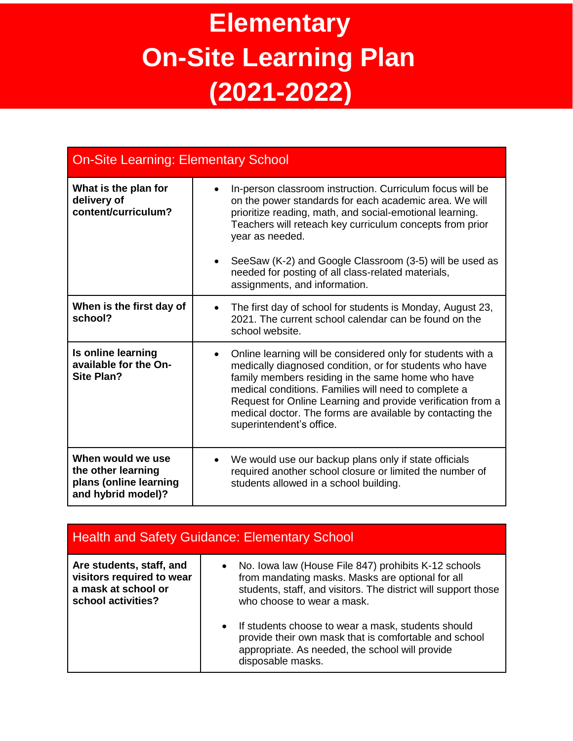## **Elementary On-Site Learning Plan (2021-2022)**

| <b>On-Site Learning: Elementary School</b>                                              |                                                                                                                                                                                                                                                                                                                                                                                                          |
|-----------------------------------------------------------------------------------------|----------------------------------------------------------------------------------------------------------------------------------------------------------------------------------------------------------------------------------------------------------------------------------------------------------------------------------------------------------------------------------------------------------|
| What is the plan for<br>delivery of<br>content/curriculum?                              | In-person classroom instruction. Curriculum focus will be<br>$\bullet$<br>on the power standards for each academic area. We will<br>prioritize reading, math, and social-emotional learning.<br>Teachers will reteach key curriculum concepts from prior<br>year as needed.                                                                                                                              |
|                                                                                         | SeeSaw (K-2) and Google Classroom (3-5) will be used as<br>needed for posting of all class-related materials,<br>assignments, and information.                                                                                                                                                                                                                                                           |
| When is the first day of<br>school?                                                     | The first day of school for students is Monday, August 23,<br>$\bullet$<br>2021. The current school calendar can be found on the<br>school website.                                                                                                                                                                                                                                                      |
| Is online learning<br>available for the On-<br><b>Site Plan?</b>                        | Online learning will be considered only for students with a<br>$\bullet$<br>medically diagnosed condition, or for students who have<br>family members residing in the same home who have<br>medical conditions. Families will need to complete a<br>Request for Online Learning and provide verification from a<br>medical doctor. The forms are available by contacting the<br>superintendent's office. |
| When would we use<br>the other learning<br>plans (online learning<br>and hybrid model)? | We would use our backup plans only if state officials<br>$\bullet$<br>required another school closure or limited the number of<br>students allowed in a school building.                                                                                                                                                                                                                                 |

| <b>Health and Safety Guidance: Elementary School</b>                                               |                                                                                                                                                                                                                                                                                                                                                                                                                           |
|----------------------------------------------------------------------------------------------------|---------------------------------------------------------------------------------------------------------------------------------------------------------------------------------------------------------------------------------------------------------------------------------------------------------------------------------------------------------------------------------------------------------------------------|
| Are students, staff, and<br>visitors required to wear<br>a mask at school or<br>school activities? | No. Iowa law (House File 847) prohibits K-12 schools<br>$\bullet$<br>from mandating masks. Masks are optional for all<br>students, staff, and visitors. The district will support those<br>who choose to wear a mask.<br>If students choose to wear a mask, students should<br>$\bullet$<br>provide their own mask that is comfortable and school<br>appropriate. As needed, the school will provide<br>disposable masks. |
|                                                                                                    |                                                                                                                                                                                                                                                                                                                                                                                                                           |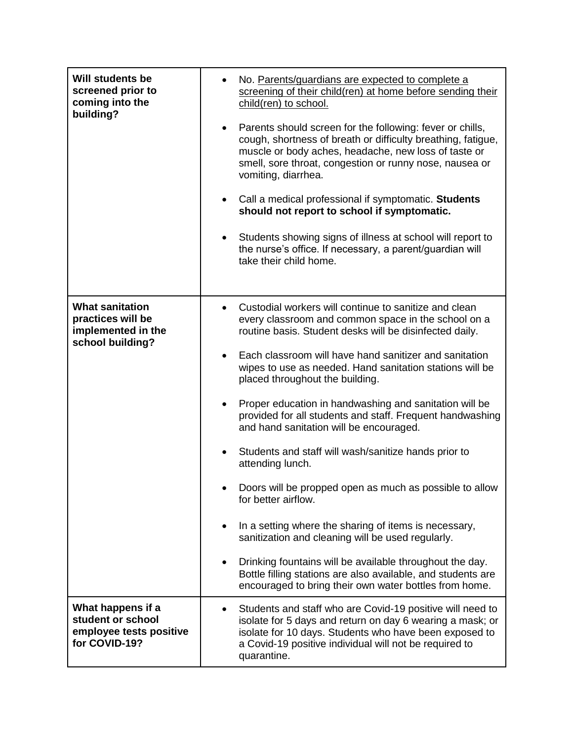| <b>Will students be</b><br>screened prior to<br>coming into the<br>building?          | No. Parents/guardians are expected to complete a<br>screening of their child(ren) at home before sending their<br>child(ren) to school.<br>Parents should screen for the following: fever or chills,<br>cough, shortness of breath or difficulty breathing, fatigue,<br>muscle or body aches, headache, new loss of taste or<br>smell, sore throat, congestion or runny nose, nausea or<br>vomiting, diarrhea.<br>Call a medical professional if symptomatic. Students<br>should not report to school if symptomatic.<br>Students showing signs of illness at school will report to<br>$\bullet$<br>the nurse's office. If necessary, a parent/guardian will<br>take their child home.                                                                                                                                                                                                                                                                                            |
|---------------------------------------------------------------------------------------|-----------------------------------------------------------------------------------------------------------------------------------------------------------------------------------------------------------------------------------------------------------------------------------------------------------------------------------------------------------------------------------------------------------------------------------------------------------------------------------------------------------------------------------------------------------------------------------------------------------------------------------------------------------------------------------------------------------------------------------------------------------------------------------------------------------------------------------------------------------------------------------------------------------------------------------------------------------------------------------|
| <b>What sanitation</b><br>practices will be<br>implemented in the<br>school building? | Custodial workers will continue to sanitize and clean<br>every classroom and common space in the school on a<br>routine basis. Student desks will be disinfected daily.<br>Each classroom will have hand sanitizer and sanitation<br>wipes to use as needed. Hand sanitation stations will be<br>placed throughout the building.<br>Proper education in handwashing and sanitation will be<br>provided for all students and staff. Frequent handwashing<br>and hand sanitation will be encouraged.<br>Students and staff will wash/sanitize hands prior to<br>$\bullet$<br>attending lunch.<br>Doors will be propped open as much as possible to allow<br>for better airflow.<br>In a setting where the sharing of items is necessary,<br>sanitization and cleaning will be used regularly.<br>Drinking fountains will be available throughout the day.<br>Bottle filling stations are also available, and students are<br>encouraged to bring their own water bottles from home. |
| What happens if a<br>student or school<br>employee tests positive<br>for COVID-19?    | Students and staff who are Covid-19 positive will need to<br>isolate for 5 days and return on day 6 wearing a mask; or<br>isolate for 10 days. Students who have been exposed to<br>a Covid-19 positive individual will not be required to<br>quarantine.                                                                                                                                                                                                                                                                                                                                                                                                                                                                                                                                                                                                                                                                                                                         |